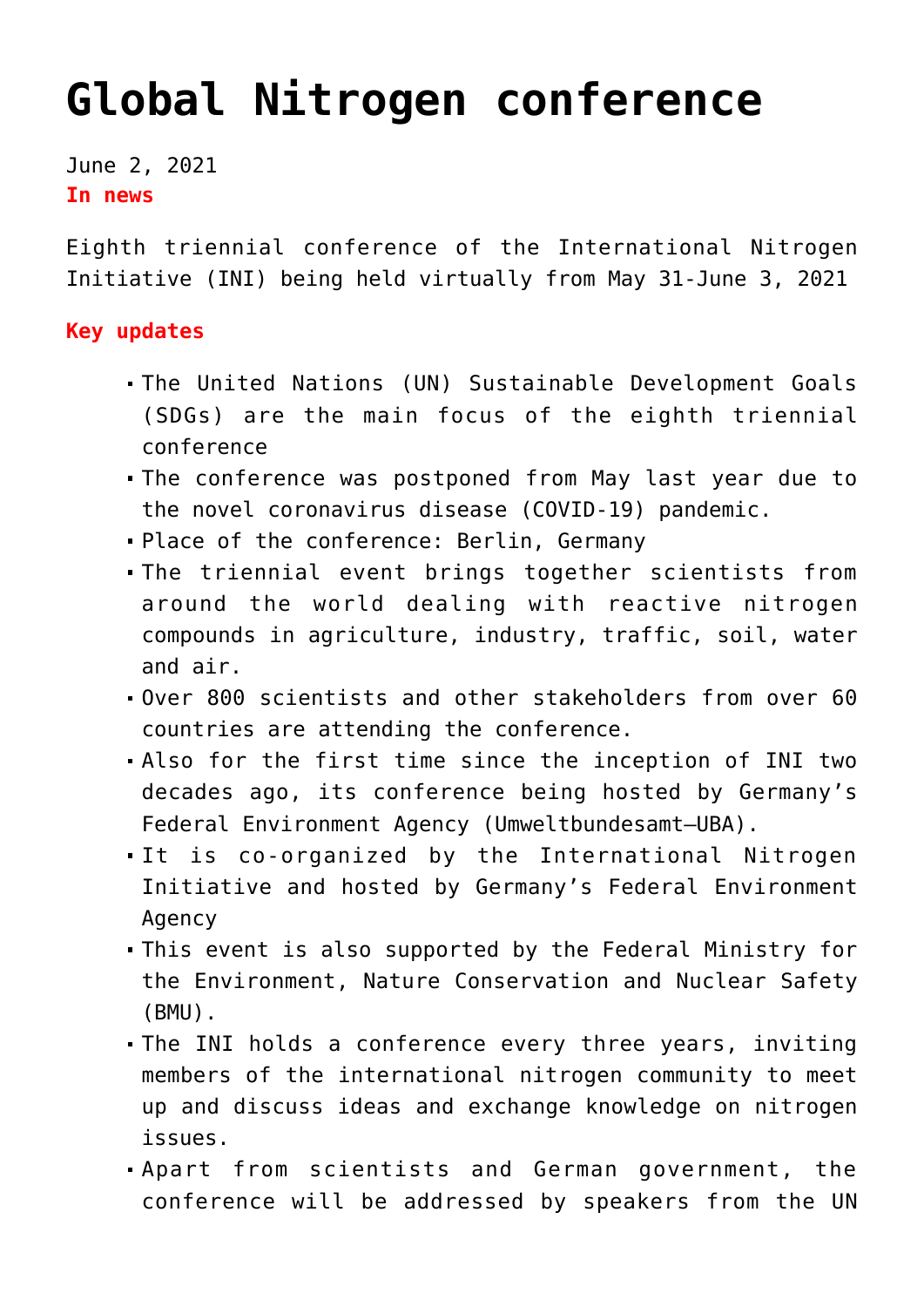## **[Global Nitrogen conference](https://journalsofindia.com/global-nitrogen-conference/)**

June 2, 2021 **In news** 

Eighth triennial conference of the International Nitrogen Initiative (INI) being held virtually from May 31-June 3, 2021

## **Key updates**

- The United Nations (UN) Sustainable Development Goals (SDGs) are the main focus of the eighth triennial conference
- The conference was postponed from May last year due to the novel coronavirus disease (COVID-19) pandemic.
- Place of the conference: Berlin, Germany
- The triennial event brings together scientists from around the world dealing with reactive nitrogen compounds in agriculture, industry, traffic, soil, water and air.
- Over 800 scientists and other stakeholders from over 60 countries are attending the conference.
- Also for the first time since the inception of INI two decades ago, its conference being hosted by Germany's Federal Environment Agency (Umweltbundesamt–UBA).
- It is co-organized by the International Nitrogen Initiative and hosted by Germany's Federal Environment Agency
- This event is also supported by the Federal Ministry for the Environment, Nature Conservation and Nuclear Safety (BMU).
- The INI holds a conference every three years, inviting members of the international nitrogen community to meet up and discuss ideas and exchange knowledge on nitrogen issues.
- Apart from scientists and German government, the conference will be addressed by speakers from the UN